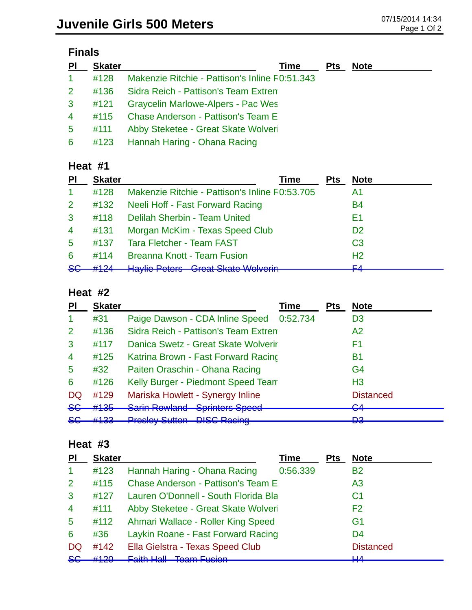| $\overline{P}$ | <b>Skater</b> | Time                                           | <b>Pts</b> | <b>Note</b> |
|----------------|---------------|------------------------------------------------|------------|-------------|
| $\mathbf{1}$   | #128          | Makenzie Ritchie - Pattison's Inline F0:51.343 |            |             |
| 2 <sup>1</sup> | #136          | Sidra Reich - Pattison's Team Extren           |            |             |
| 3              | #121          | <b>Graycelin Marlowe-Alpers - Pac Wes</b>      |            |             |
| $\overline{4}$ | #115          | <b>Chase Anderson - Pattison's Team E</b>      |            |             |
| 5 <sup>5</sup> | #111          | Abby Steketee - Great Skate Wolveri            |            |             |
| 6              |               | #123 Hannah Haring - Ohana Racing              |            |             |

### **Heat #1**

| <b>PI</b>            | <b>Skater</b> | Time                                                                                      | <b>Pts</b> | <b>Note</b>    |
|----------------------|---------------|-------------------------------------------------------------------------------------------|------------|----------------|
| $\blacktriangleleft$ | #128          | Makenzie Ritchie - Pattison's Inline F0:53.705                                            |            | A1             |
| 2 <sup>1</sup>       | #132          | Neeli Hoff - Fast Forward Racing                                                          |            | <b>B4</b>      |
| 3                    | #118          | Delilah Sherbin - Team United                                                             |            | Ε1             |
| $\overline{4}$       | #131          | Morgan McKim - Texas Speed Club                                                           |            | D <sub>2</sub> |
| $5^{\circ}$          | #137          | <b>Tara Fletcher - Team FAST</b>                                                          |            | C <sub>3</sub> |
| 6                    | #114          | <b>Breanna Knott - Team Fusion</b>                                                        |            | H <sub>2</sub> |
| 86                   | $#124 -$      | Havilia Datara Crast Clata Walvarin<br><b>TRAYING LIGHTS</b><br><u>UIUU UNUU WUIVUIIT</u> |            | ᆮ              |

#### **Heat #2**

| ΡI             | <b>Skater</b>           |                                      | Time     | <b>Pts</b> | <b>Note</b>        |
|----------------|-------------------------|--------------------------------------|----------|------------|--------------------|
|                | #31                     | Paige Dawson - CDA Inline Speed      | 0:52.734 |            | D <sub>3</sub>     |
| $\overline{2}$ | #136                    | Sidra Reich - Pattison's Team Extren |          |            | A2                 |
| 3              | #117                    | Danica Swetz - Great Skate Wolverir  |          |            | F1                 |
| $\overline{4}$ | #125                    | Katrina Brown - Fast Forward Racing  |          |            | В1                 |
| 5              | #32                     | Paiten Oraschin - Ohana Racing       |          |            | G4                 |
| 6              | #126                    | Kelly Burger - Piedmont Speed Team   |          |            | H <sub>3</sub>     |
| DQ             | #129                    | Mariska Howlett - Synergy Inline     |          |            | <b>Distanced</b>   |
| 8 <sub>6</sub> | #135                    | <b>Sarin Rowland Sprinters Speed</b> |          |            | $\mathbf{C}$<br>▽⊤ |
| <del>SG</del>  | 4122<br><del>#100</del> | <b>Presley Sutton - DISC Racing</b>  |          |            | מח<br>ဟ            |

### **Heat #3**

| PI             | <b>Skater</b> |                                           | <b>Time</b> | <b>Pts</b> | <b>Note</b>      |
|----------------|---------------|-------------------------------------------|-------------|------------|------------------|
| $\mathbf{1}$   | #123          | Hannah Haring - Ohana Racing              | 0:56.339    |            | <b>B2</b>        |
| $\overline{2}$ | #115          | <b>Chase Anderson - Pattison's Team E</b> |             |            | A <sub>3</sub>   |
| 3              | #127          | Lauren O'Donnell - South Florida Bla      |             |            | C1               |
| $\overline{4}$ | #111          | Abby Steketee - Great Skate Wolveri       |             |            | F2               |
| 5              | #112          | Ahmari Wallace - Roller King Speed        |             |            | G <sub>1</sub>   |
| 6              | #36           | Laykin Roane - Fast Forward Racing        |             |            | D <sub>4</sub>   |
| <b>DQ</b>      | #142          | Ella Gielstra - Texas Speed Club          |             |            | <b>Distanced</b> |
| <b>SG</b>      | H120          | Foith Holl - Toom Fucion                  |             |            | ШA               |